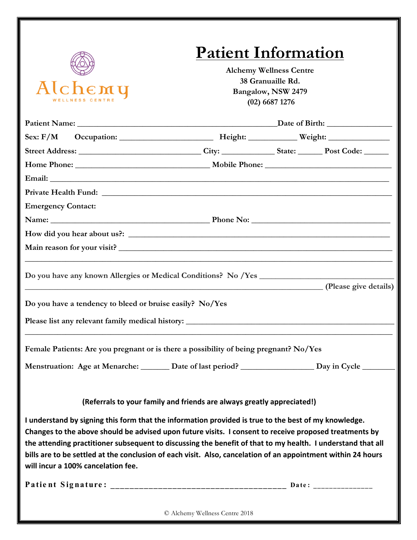

### **Patient Information**

**Alchemy Wellness Centre 38 Granuaille Rd. Bangalow, NSW 2479 (02) 6687 1276**

| <b>Emergency Contact:</b>                                                                                                                                                                                                                                                                                                     |                                                                        |  |
|-------------------------------------------------------------------------------------------------------------------------------------------------------------------------------------------------------------------------------------------------------------------------------------------------------------------------------|------------------------------------------------------------------------|--|
| Name: Name: Note and Solution of the Phone Not not all the Phone Not not all the Not not all the Not not all the Not not all the Not not all the Not not all the Not not all the Not not all the Not not all the Not not all t                                                                                                |                                                                        |  |
|                                                                                                                                                                                                                                                                                                                               |                                                                        |  |
|                                                                                                                                                                                                                                                                                                                               |                                                                        |  |
|                                                                                                                                                                                                                                                                                                                               |                                                                        |  |
| (Please give details)<br>Do you have a tendency to bleed or bruise easily? No/Yes                                                                                                                                                                                                                                             |                                                                        |  |
|                                                                                                                                                                                                                                                                                                                               |                                                                        |  |
| Female Patients: Are you pregnant or is there a possibility of being pregnant? No/Yes                                                                                                                                                                                                                                         |                                                                        |  |
| Menstruation: Age at Menarche: ______ Date of last period? ________________ Day in Cycle _______                                                                                                                                                                                                                              |                                                                        |  |
|                                                                                                                                                                                                                                                                                                                               | (Referrals to your family and friends are always greatly appreciated!) |  |
| I understand by signing this form that the information provided is true to the best of my knowledge.<br>Changes to the above should be advised upon future visits. I consent to receive proposed treatments by<br>the attending practitioner subsequent to discussing the benefit of that to my health. I understand that all |                                                                        |  |
| bills are to be settled at the conclusion of each visit. Also, cancelation of an appointment within 24 hours                                                                                                                                                                                                                  |                                                                        |  |
| will incur a 100% cancelation fee.                                                                                                                                                                                                                                                                                            |                                                                        |  |

© Alchemy Wellness Centre 2018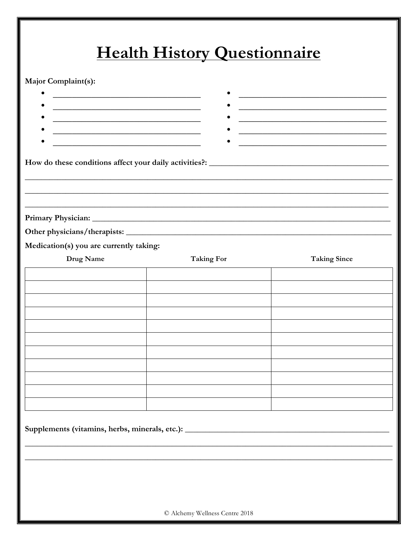## Health History Questionnaire

#### Major Complaint(s):

| the control of the control of the control of the control of the control of the control of<br><u> 1989 - Johann John Stone, mars eta bainar eta baina eta baina eta baina eta baina eta baina eta baina eta ba</u> |                                                                                  | and the control of the control of the control of the control of the control of the control of<br><u> 1999 - Johann John Harry Harry Harry Harry Harry Harry Harry Harry Harry Harry Harry Harry Harry Harry Harry H</u> |
|-------------------------------------------------------------------------------------------------------------------------------------------------------------------------------------------------------------------|----------------------------------------------------------------------------------|-------------------------------------------------------------------------------------------------------------------------------------------------------------------------------------------------------------------------|
|                                                                                                                                                                                                                   |                                                                                  |                                                                                                                                                                                                                         |
|                                                                                                                                                                                                                   |                                                                                  |                                                                                                                                                                                                                         |
|                                                                                                                                                                                                                   |                                                                                  |                                                                                                                                                                                                                         |
| Medication(s) you are currently taking:                                                                                                                                                                           |                                                                                  |                                                                                                                                                                                                                         |
| Drug Name                                                                                                                                                                                                         | <b>Taking For</b>                                                                | <b>Taking Since</b>                                                                                                                                                                                                     |
|                                                                                                                                                                                                                   |                                                                                  |                                                                                                                                                                                                                         |
|                                                                                                                                                                                                                   |                                                                                  |                                                                                                                                                                                                                         |
|                                                                                                                                                                                                                   |                                                                                  |                                                                                                                                                                                                                         |
|                                                                                                                                                                                                                   |                                                                                  |                                                                                                                                                                                                                         |
|                                                                                                                                                                                                                   |                                                                                  |                                                                                                                                                                                                                         |
|                                                                                                                                                                                                                   |                                                                                  |                                                                                                                                                                                                                         |
|                                                                                                                                                                                                                   |                                                                                  |                                                                                                                                                                                                                         |
|                                                                                                                                                                                                                   |                                                                                  |                                                                                                                                                                                                                         |
|                                                                                                                                                                                                                   |                                                                                  |                                                                                                                                                                                                                         |
|                                                                                                                                                                                                                   |                                                                                  |                                                                                                                                                                                                                         |
|                                                                                                                                                                                                                   | Supplements (vitamins, herbs, minerals, etc.): _________________________________ |                                                                                                                                                                                                                         |
|                                                                                                                                                                                                                   |                                                                                  |                                                                                                                                                                                                                         |
|                                                                                                                                                                                                                   |                                                                                  |                                                                                                                                                                                                                         |
|                                                                                                                                                                                                                   |                                                                                  |                                                                                                                                                                                                                         |
|                                                                                                                                                                                                                   |                                                                                  |                                                                                                                                                                                                                         |
|                                                                                                                                                                                                                   | © Alchemy Wellness Centre 2018                                                   |                                                                                                                                                                                                                         |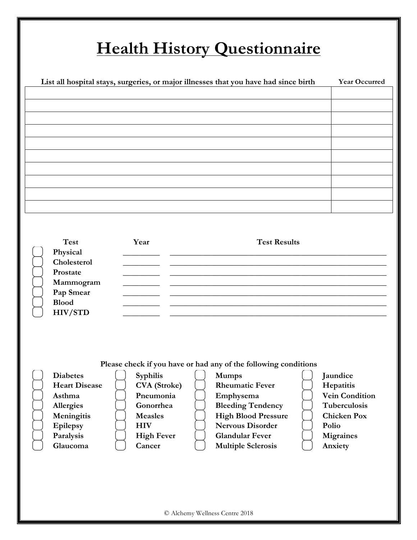# **Health History Questionnaire**

| <b>Test</b><br>Year<br><b>Test Results</b><br>Physical<br>Cholesterol<br>Prostate<br>Mammogram<br>Pap Smear<br><b>Blood</b><br><b>HIV/STD</b><br>Please check if you have or had any of the following conditions<br><b>Diabetes</b><br>Syphilis<br><b>Mumps</b><br>Jaundice<br><b>Heart Disease</b><br><b>CVA</b> (Stroke)<br><b>Rheumatic Fever</b><br>Hepatitis<br><b>Vein Condition</b><br>Asthma<br>Pneumonia<br>Emphysema<br><b>Bleeding Tendency</b><br>Tuberculosis<br>Allergies<br>Gonorrhea<br>Meningitis<br>Measles<br><b>High Blood Pressure</b><br><b>Chicken Pox</b><br><b>Nervous Disorder</b><br>Epilepsy<br><b>HIV</b><br>Polio<br><b>Glandular Fever</b><br>Paralysis<br><b>High Fever</b><br><b>Migraines</b><br>Glaucoma<br><b>Multiple Sclerosis</b><br>Cancer<br>Anxiety |  |  |  |
|-----------------------------------------------------------------------------------------------------------------------------------------------------------------------------------------------------------------------------------------------------------------------------------------------------------------------------------------------------------------------------------------------------------------------------------------------------------------------------------------------------------------------------------------------------------------------------------------------------------------------------------------------------------------------------------------------------------------------------------------------------------------------------------------------|--|--|--|
|                                                                                                                                                                                                                                                                                                                                                                                                                                                                                                                                                                                                                                                                                                                                                                                               |  |  |  |
|                                                                                                                                                                                                                                                                                                                                                                                                                                                                                                                                                                                                                                                                                                                                                                                               |  |  |  |
|                                                                                                                                                                                                                                                                                                                                                                                                                                                                                                                                                                                                                                                                                                                                                                                               |  |  |  |
|                                                                                                                                                                                                                                                                                                                                                                                                                                                                                                                                                                                                                                                                                                                                                                                               |  |  |  |
|                                                                                                                                                                                                                                                                                                                                                                                                                                                                                                                                                                                                                                                                                                                                                                                               |  |  |  |
|                                                                                                                                                                                                                                                                                                                                                                                                                                                                                                                                                                                                                                                                                                                                                                                               |  |  |  |
|                                                                                                                                                                                                                                                                                                                                                                                                                                                                                                                                                                                                                                                                                                                                                                                               |  |  |  |
|                                                                                                                                                                                                                                                                                                                                                                                                                                                                                                                                                                                                                                                                                                                                                                                               |  |  |  |
|                                                                                                                                                                                                                                                                                                                                                                                                                                                                                                                                                                                                                                                                                                                                                                                               |  |  |  |
|                                                                                                                                                                                                                                                                                                                                                                                                                                                                                                                                                                                                                                                                                                                                                                                               |  |  |  |
|                                                                                                                                                                                                                                                                                                                                                                                                                                                                                                                                                                                                                                                                                                                                                                                               |  |  |  |
|                                                                                                                                                                                                                                                                                                                                                                                                                                                                                                                                                                                                                                                                                                                                                                                               |  |  |  |
|                                                                                                                                                                                                                                                                                                                                                                                                                                                                                                                                                                                                                                                                                                                                                                                               |  |  |  |
|                                                                                                                                                                                                                                                                                                                                                                                                                                                                                                                                                                                                                                                                                                                                                                                               |  |  |  |
|                                                                                                                                                                                                                                                                                                                                                                                                                                                                                                                                                                                                                                                                                                                                                                                               |  |  |  |
|                                                                                                                                                                                                                                                                                                                                                                                                                                                                                                                                                                                                                                                                                                                                                                                               |  |  |  |
|                                                                                                                                                                                                                                                                                                                                                                                                                                                                                                                                                                                                                                                                                                                                                                                               |  |  |  |
|                                                                                                                                                                                                                                                                                                                                                                                                                                                                                                                                                                                                                                                                                                                                                                                               |  |  |  |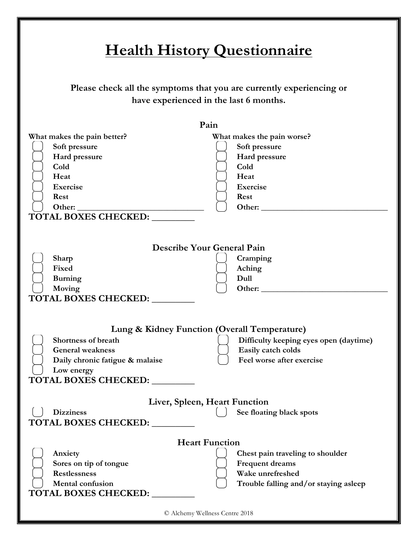© Alchemy Wellness Centre 2018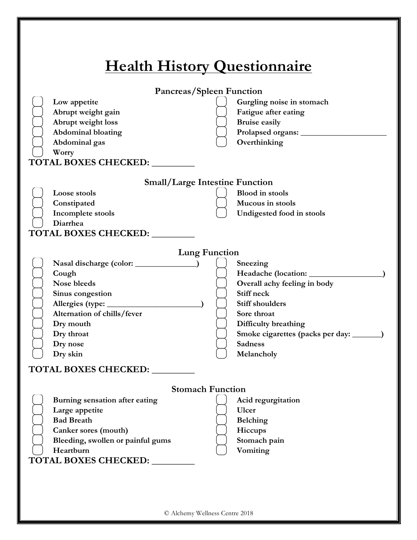| <b>Health History Questionnaire</b>                                                                                                                                                                                                                                                                                                                       |  |
|-----------------------------------------------------------------------------------------------------------------------------------------------------------------------------------------------------------------------------------------------------------------------------------------------------------------------------------------------------------|--|
| Pancreas/Spleen Function                                                                                                                                                                                                                                                                                                                                  |  |
| Low appetite<br>Gurgling noise in stomach<br>Fatigue after eating<br>Abrupt weight gain<br><b>Bruise easily</b><br>Abrupt weight loss<br><b>Abdominal bloating</b><br>Prolapsed organs:<br>Overthinking<br>Abdominal gas<br>Worry<br><b>TOTAL BOXES CHECKED: __</b>                                                                                       |  |
|                                                                                                                                                                                                                                                                                                                                                           |  |
| <b>Small/Large Intestine Function</b><br><b>Blood</b> in stools<br>Loose stools<br>Constipated<br>Mucous in stools<br>Incomplete stools<br>Undigested food in stools<br>Diarrhea<br><b>TOTAL BOXES CHECKED: ____</b>                                                                                                                                      |  |
| <b>Lung Function</b>                                                                                                                                                                                                                                                                                                                                      |  |
| Sneezing<br>Cough<br>Nose bleeds<br>Overall achy feeling in body<br>Stiff neck<br>Sinus congestion<br>Allergies (type: ___________<br><b>Stiff shoulders</b><br>Alternation of chills/fever<br>Sore throat<br>Dry mouth<br>Difficulty breathing<br>Smoke cigarettes (packs per day:<br>Dry throat<br><b>Sadness</b><br>Dry nose<br>Dry skin<br>Melancholy |  |
| <b>TOTAL BOXES CHECKED: ___</b>                                                                                                                                                                                                                                                                                                                           |  |
| <b>Stomach Function</b><br>Burning sensation after eating<br>Acid regurgitation<br>Large appetite<br><b>Ulcer</b><br><b>Bad Breath</b><br><b>Belching</b><br>Canker sores (mouth)<br>Hiccups<br>Stomach pain<br>Bleeding, swollen or painful gums<br>Vomiting<br>Heartburn<br>TOTAL BOXES CHECKED: _______                                                |  |
| © Alchemy Wellness Centre 2018                                                                                                                                                                                                                                                                                                                            |  |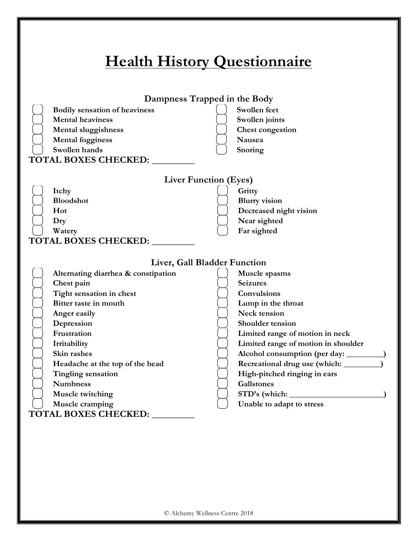| Dampness Trapped in the Body         |                                                                                 |
|--------------------------------------|---------------------------------------------------------------------------------|
| <b>Bodily sensation of heaviness</b> | Swollen feet                                                                    |
| <b>Mental heaviness</b>              | Swollen joints                                                                  |
| <b>Mental sluggishness</b>           | <b>Chest congestion</b>                                                         |
| <b>Mental fogginess</b>              | Nausea                                                                          |
| Swollen hands                        | Snoring                                                                         |
| <b>TOTAL BOXES CHECKED:</b>          |                                                                                 |
| <b>Liver Function (Eyes)</b>         |                                                                                 |
| Itchy                                | Gritty                                                                          |
| <b>Bloodshot</b>                     | <b>Blurry</b> vision                                                            |
| Hot                                  | Decreased night vision                                                          |
| Dry                                  | Near sighted                                                                    |
| Watery                               | Far sighted                                                                     |
| TOTAL BOXES CHECKED:                 |                                                                                 |
| Liver, Gall Bladder Function         |                                                                                 |
| Alternating diarrhea & constipation  | Muscle spasms                                                                   |
| Chest pain                           | <b>Seizures</b>                                                                 |
| Tight sensation in chest             | Convulsions                                                                     |
| Bitter taste in mouth                | Lump in the throat                                                              |
| Anger easily                         | Neck tension                                                                    |
| Depression                           | Shoulder tension                                                                |
| Frustration                          | Limited range of motion in neck                                                 |
| Irritability<br>Skin rashes          | Limited range of motion in shoulder<br>Alcohol consumption (per day: _________) |
| Headache at the top of the head      |                                                                                 |
| <b>Tingling sensation</b>            | High-pitched ringing in ears                                                    |
| <b>Numbness</b>                      | <b>Gallstones</b>                                                               |
| Muscle twitching                     |                                                                                 |
| Muscle cramping                      | Unable to adapt to stress                                                       |
|                                      |                                                                                 |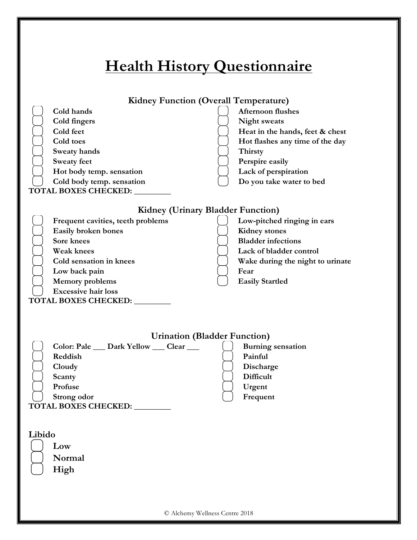| <b>Health History Questionnaire</b>                                                                                                                                                                                                                                 |                                                                                                                                                                                                         |
|---------------------------------------------------------------------------------------------------------------------------------------------------------------------------------------------------------------------------------------------------------------------|---------------------------------------------------------------------------------------------------------------------------------------------------------------------------------------------------------|
| <b>Kidney Function (Overall Temperature)</b><br>Cold hands<br>Cold fingers<br>Cold feet<br>Cold toes<br>Sweaty hands<br><b>Sweaty feet</b><br>Hot body temp. sensation<br>Cold body temp. sensation<br>TOTAL BOXES CHECKED: ________                                | <b>Afternoon flushes</b><br><b>Night sweats</b><br>Heat in the hands, feet & chest<br>Hot flashes any time of the day<br>Thirsty<br>Perspire easily<br>Lack of perspiration<br>Do you take water to bed |
| <b>Kidney (Urinary Bladder Function)</b><br>Frequent cavities, teeth problems<br>Easily broken bones<br>Sore knees<br><b>Weak knees</b><br>Cold sensation in knees<br>Low back pain<br><b>Memory</b> problems<br><b>Excessive hair loss</b><br>TOTAL BOXES CHECKED: | Low-pitched ringing in ears<br><b>Kidney</b> stones<br><b>Bladder</b> infections<br>Lack of bladder control<br>Wake during the night to urinate<br>Fear<br><b>Easily Startled</b>                       |
| <b>Urination (Bladder Function)</b><br>Color: Pale __ Dark Yellow __ Clear __<br>Reddish<br>Cloudy<br>Scanty<br>Profuse<br>Strong odor<br>TOTAL BOXES CHECKED:                                                                                                      | <b>Burning sensation</b><br>Painful<br>Discharge<br>Difficult<br>Urgent<br>Frequent                                                                                                                     |
| Libido<br>Low<br>Normal<br>High<br>© Alchemy Wellness Centre 2018                                                                                                                                                                                                   |                                                                                                                                                                                                         |